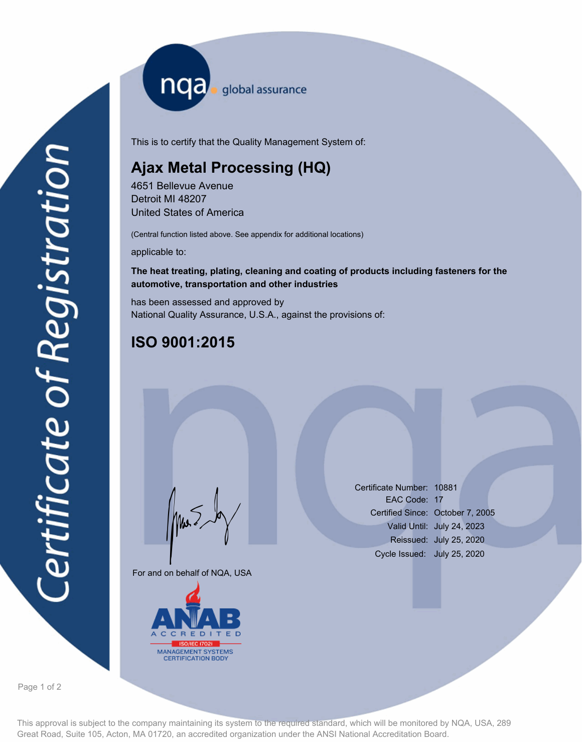nqa <sub>global</sub> assurance

This is to certify that the Quality Management System of:

# **Ajax Metal Processing (HQ)**

4651 Bellevue Avenue Detroit MI 48207 United States of America

(Central function listed above. See appendix for additional locations)

applicable to:

### **The heat treating, plating, cleaning and coating of products including fasteners for the automotive, transportation and other industries**

has been assessed and approved by National Quality Assurance, U.S.A., against the provisions of:

# **ISO 9001:2015**

For and on behalf of NQA, USA

Mus



Certificate Number: 10881 EAC Code: 17 Certified Since: October 7, 2005 Valid Until: July 24, 2023 Reissued: July 25, 2020 Cycle Issued: July 25, 2020

Page 1 of 2

This approval is subject to the company maintaining its system to the required standard, which will be monitored by NQA, USA, 289 Great Road, Suite 105, Acton, MA 01720, an accredited organization under the ANSI National Accreditation Board.